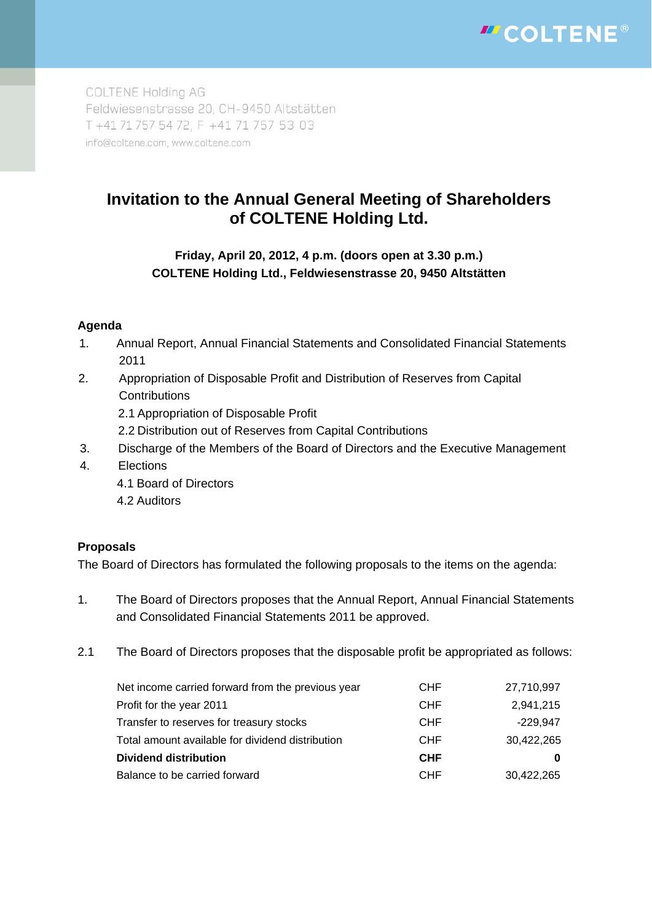

COLTENE Holding AG Feldwiesenstrasse 20, CH-9450 Altstätten T +41 71 757 54 72, F +41 71 757 53 03 info@coltene.com, www.coltene.com

# **Invitation to the Annual General Meeting of Shareholders of COLTENE Holding Ltd.**

## **Friday, April 20, 2012, 4 p.m. (doors open at 3.30 p.m.) COLTENE Holding Ltd., Feldwiesenstrasse 20, 9450 Altstätten**

### **Agenda**

- 1. Annual Report, Annual Financial Statements and Consolidated Financial Statements 2011
- 2. Appropriation of Disposable Profit and Distribution of Reserves from Capital **Contributions** 
	- 2.1 Appropriation of Disposable Profit
	- 2.2 Distribution out of Reserves from Capital Contributions
- 3. Discharge of the Members of the Board of Directors and the Executive Management
- 4. Elections
	- 4.1 Board of Directors
	- 4.2 Auditors

### **Proposals**

The Board of Directors has formulated the following proposals to the items on the agenda:

- 1. The Board of Directors proposes that the Annual Report, Annual Financial Statements and Consolidated Financial Statements 2011 be approved.
- 2.1 The Board of Directors proposes that the disposable profit be appropriated as follows:

| <b>CHF</b> | 27,710,997 |
|------------|------------|
| <b>CHF</b> | 2,941,215  |
| <b>CHF</b> | $-229.947$ |
| <b>CHF</b> | 30,422,265 |
| <b>CHF</b> |            |
| <b>CHF</b> | 30,422,265 |
|            |            |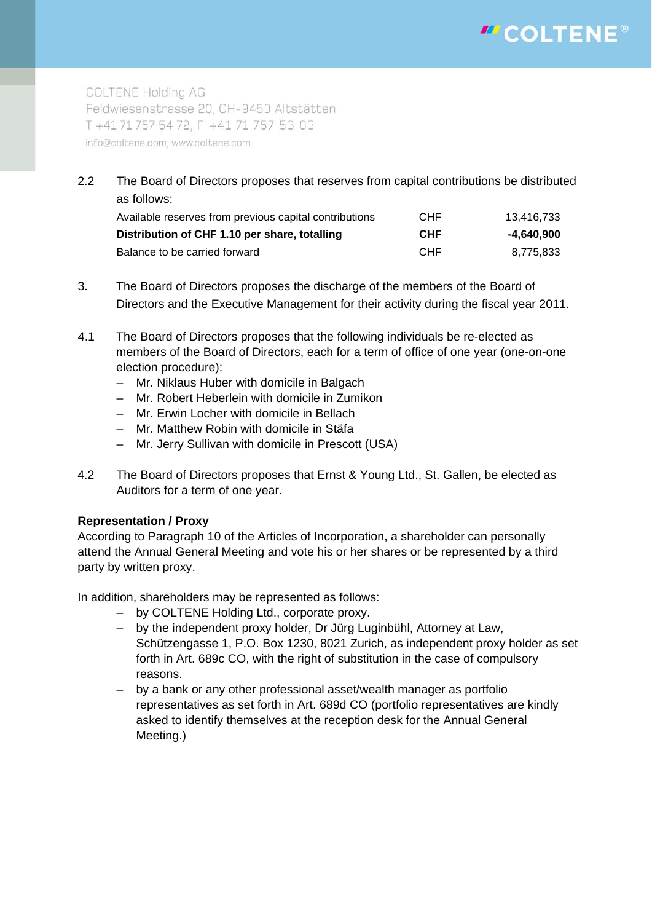# "COLTENE®

**COLTENE Holding AG** Feldwiesenstrasse 20, CH-9450 Altstätten T +41 71 757 54 72, F +41 71 757 53 03 info@coltene.com, www.coltene.com

2.2 The Board of Directors proposes that reserves from capital contributions be distributed as follows:

| Available reserves from previous capital contributions | <b>CHF</b> | 13.416.733 |
|--------------------------------------------------------|------------|------------|
| Distribution of CHF 1.10 per share, totalling          | <b>CHF</b> | -4.640.900 |
| Balance to be carried forward                          | <b>CHF</b> | 8.775.833  |

- 3. The Board of Directors proposes the discharge of the members of the Board of Directors and the Executive Management for their activity during the fiscal year 2011.
- 4.1 The Board of Directors proposes that the following individuals be re-elected as members of the Board of Directors, each for a term of office of one year (one-on-one election procedure):
	- Mr. Niklaus Huber with domicile in Balgach
	- Mr. Robert Heberlein with domicile in Zumikon
	- Mr. Erwin Locher with domicile in Bellach
	- Mr. Matthew Robin with domicile in Stäfa
	- Mr. Jerry Sullivan with domicile in Prescott (USA)
- 4.2 The Board of Directors proposes that Ernst & Young Ltd., St. Gallen, be elected as Auditors for a term of one year.

### **Representation / Proxy**

According to Paragraph 10 of the Articles of Incorporation, a shareholder can personally attend the Annual General Meeting and vote his or her shares or be represented by a third party by written proxy.

In addition, shareholders may be represented as follows:

- by COLTENE Holding Ltd., corporate proxy.
- by the independent proxy holder, Dr Jürg Luginbühl, Attorney at Law, Schützengasse 1, P.O. Box 1230, 8021 Zurich, as independent proxy holder as set forth in Art. 689c CO, with the right of substitution in the case of compulsory reasons.
- by a bank or any other professional asset/wealth manager as portfolio representatives as set forth in Art. 689d CO (portfolio representatives are kindly asked to identify themselves at the reception desk for the Annual General Meeting.)